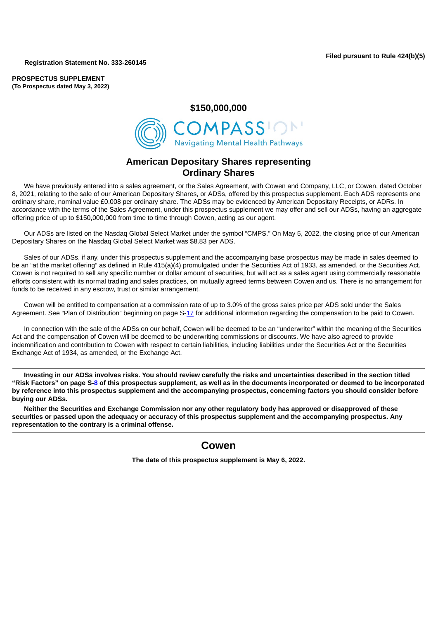**Registration Statement No. 333-260145**

### **PROSPECTUS SUPPLEMENT (To Prospectus dated May 3, 2022)**

# **\$150,000,000 OMPASSION Navigating Mental Health Pathways**

# **American Depositary Shares representing Ordinary Shares**

We have previously entered into a sales agreement, or the Sales Agreement, with Cowen and Company, LLC, or Cowen, dated October 8, 2021, relating to the sale of our American Depositary Shares, or ADSs, offered by this prospectus supplement. Each ADS represents one ordinary share, nominal value £0.008 per ordinary share. The ADSs may be evidenced by American Depositary Receipts, or ADRs. In accordance with the terms of the Sales Agreement, under this prospectus supplement we may offer and sell our ADSs, having an aggregate offering price of up to \$150,000,000 from time to time through Cowen, acting as our agent.

Our ADSs are listed on the Nasdaq Global Select Market under the symbol "CMPS." On May 5, 2022, the closing price of our American Depositary Shares on the Nasdaq Global Select Market was \$8.83 per ADS.

Sales of our ADSs, if any, under this prospectus supplement and the accompanying base prospectus may be made in sales deemed to be an "at the market offering" as defined in Rule 415(a)(4) promulgated under the Securities Act of 1933, as amended, or the Securities Act. Cowen is not required to sell any specific number or dollar amount of securities, but will act as a sales agent using commercially reasonable efforts consistent with its normal trading and sales practices, on mutually agreed terms between Cowen and us. There is no arrangement for funds to be received in any escrow, trust or similar arrangement.

Cowen will be entitled to compensation at a commission rate of up to 3.0% of the gross sales price per ADS sold under the Sales Agreement. See "Plan of Distribution" beginning on page S[-17](#page-16-0) for additional information regarding the compensation to be paid to Cowen.

In connection with the sale of the ADSs on our behalf, Cowen will be deemed to be an "underwriter" within the meaning of the Securities Act and the compensation of Cowen will be deemed to be underwriting commissions or discounts. We have also agreed to provide indemnification and contribution to Cowen with respect to certain liabilities, including liabilities under the Securities Act or the Securities Exchange Act of 1934, as amended, or the Exchange Act.

Investing in our ADSs involves risks. You should review carefully the risks and uncertainties described in the section titled "Risk Factors" on page S-[8](#page-7-0) of this prospectus supplement, as well as in the documents incorporated or deemed to be incorporated by reference into this prospectus supplement and the accompanying prospectus, concerning factors you should consider before **buying our ADSs.**

<span id="page-0-0"></span>Neither the Securities and Exchange Commission nor any other regulatory body has approved or disapproved of these securities or passed upon the adequacy or accuracy of this prospectus supplement and the accompanying prospectus. Any **representation to the contrary is a criminal offense.**

# **Cowen**

**The date of this prospectus supplement is May 6, 2022.**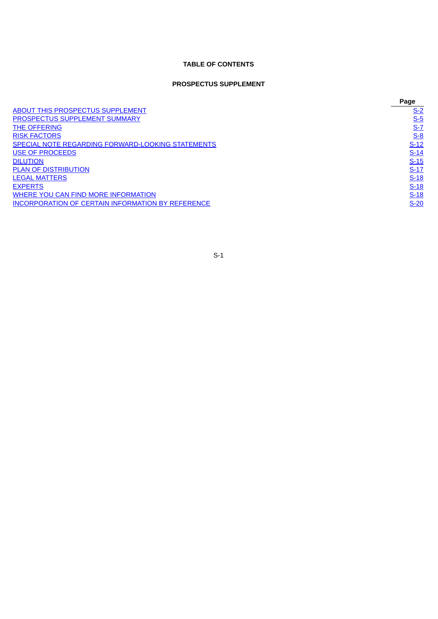# **TABLE OF CONTENTS**

# **PROSPECTUS SUPPLEMENT**

<span id="page-1-0"></span>

|                                                          | Page       |
|----------------------------------------------------------|------------|
| ABOUT THIS PROSPECTUS SUPPLEMENT                         | $S-2$      |
| PROSPECTUS SUPPLEMENT SUMMARY                            | <u>S-5</u> |
| <b>THE OFFERING</b>                                      | $S-7$      |
| <b>RISK FACTORS</b>                                      | <u>S-8</u> |
| SPECIAL NOTE REGARDING FORWARD-LOOKING STATEMENTS        | $S-12$     |
| <b>USE OF PROCEEDS</b>                                   | $S-14$     |
| <b>DILUTION</b>                                          | $S-15$     |
| <b>PLAN OF DISTRIBUTION</b>                              | $S-17$     |
| <b>LEGAL MATTERS</b>                                     | $S-18$     |
| <b>EXPERTS</b>                                           | $S-18$     |
| WHERE YOU CAN FIND MORE INFORMATION                      | S-18       |
| <b>INCORPORATION OF CERTAIN INFORMATION BY REFERENCE</b> | $S-20$     |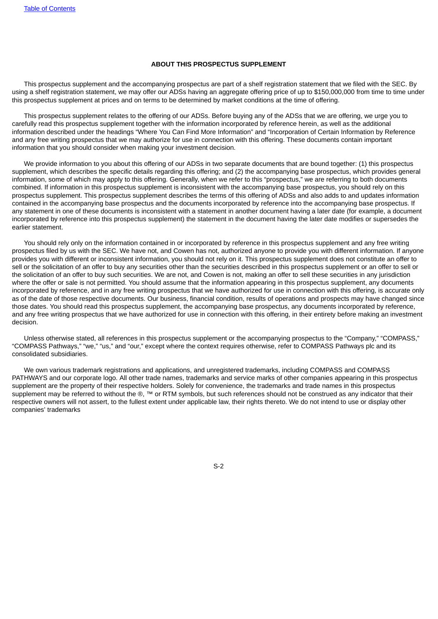#### **ABOUT THIS PROSPECTUS SUPPLEMENT**

This prospectus supplement and the accompanying prospectus are part of a shelf registration statement that we filed with the SEC. By using a shelf registration statement, we may offer our ADSs having an aggregate offering price of up to \$150,000,000 from time to time under this prospectus supplement at prices and on terms to be determined by market conditions at the time of offering.

This prospectus supplement relates to the offering of our ADSs. Before buying any of the ADSs that we are offering, we urge you to carefully read this prospectus supplement together with the information incorporated by reference herein, as well as the additional information described under the headings "Where You Can Find More Information" and "Incorporation of Certain Information by Reference and any free writing prospectus that we may authorize for use in connection with this offering. These documents contain important information that you should consider when making your investment decision.

We provide information to you about this offering of our ADSs in two separate documents that are bound together: (1) this prospectus supplement, which describes the specific details regarding this offering; and (2) the accompanying base prospectus, which provides general information, some of which may apply to this offering. Generally, when we refer to this "prospectus," we are referring to both documents combined. If information in this prospectus supplement is inconsistent with the accompanying base prospectus, you should rely on this prospectus supplement. This prospectus supplement describes the terms of this offering of ADSs and also adds to and updates information contained in the accompanying base prospectus and the documents incorporated by reference into the accompanying base prospectus. If any statement in one of these documents is inconsistent with a statement in another document having a later date (for example, a document incorporated by reference into this prospectus supplement) the statement in the document having the later date modifies or supersedes the earlier statement.

You should rely only on the information contained in or incorporated by reference in this prospectus supplement and any free writing prospectus filed by us with the SEC. We have not, and Cowen has not, authorized anyone to provide you with different information. If anyone provides you with different or inconsistent information, you should not rely on it. This prospectus supplement does not constitute an offer to sell or the solicitation of an offer to buy any securities other than the securities described in this prospectus supplement or an offer to sell or the solicitation of an offer to buy such securities. We are not, and Cowen is not, making an offer to sell these securities in any jurisdiction where the offer or sale is not permitted. You should assume that the information appearing in this prospectus supplement, any documents incorporated by reference, and in any free writing prospectus that we have authorized for use in connection with this offering, is accurate only as of the date of those respective documents. Our business, financial condition, results of operations and prospects may have changed since those dates. You should read this prospectus supplement, the accompanying base prospectus, any documents incorporated by reference, and any free writing prospectus that we have authorized for use in connection with this offering, in their entirety before making an investment decision.

Unless otherwise stated, all references in this prospectus supplement or the accompanying prospectus to the "Company," "COMPASS," "COMPASS Pathways," "we," "us," and "our," except where the context requires otherwise, refer to COMPASS Pathways plc and its consolidated subsidiaries.

We own various trademark registrations and applications, and unregistered trademarks, including COMPASS and COMPASS PATHWAYS and our corporate logo. All other trade names, trademarks and service marks of other companies appearing in this prospectus supplement are the property of their respective holders. Solely for convenience, the trademarks and trade names in this prospectus supplement may be referred to without the ®, ™ or RTM symbols, but such references should not be construed as any indicator that their respective owners will not assert, to the fullest extent under applicable law, their rights thereto. We do not intend to use or display other companies' trademarks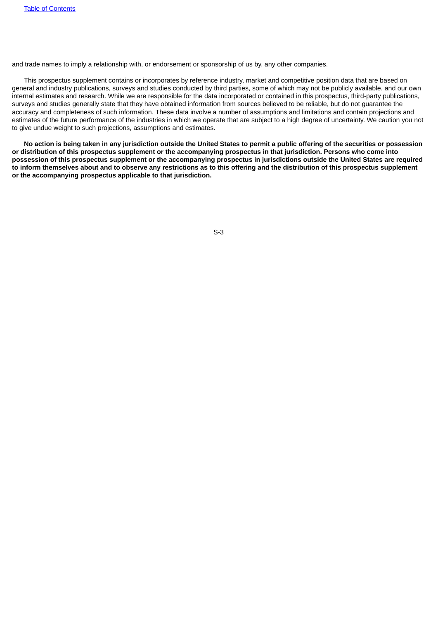and trade names to imply a relationship with, or endorsement or sponsorship of us by, any other companies.

This prospectus supplement contains or incorporates by reference industry, market and competitive position data that are based on general and industry publications, surveys and studies conducted by third parties, some of which may not be publicly available, and our own internal estimates and research. While we are responsible for the data incorporated or contained in this prospectus, third-party publications, surveys and studies generally state that they have obtained information from sources believed to be reliable, but do not guarantee the accuracy and completeness of such information. These data involve a number of assumptions and limitations and contain projections and estimates of the future performance of the industries in which we operate that are subject to a high degree of uncertainty. We caution you not to give undue weight to such projections, assumptions and estimates.

No action is being taken in any jurisdiction outside the United States to permit a public offering of the securities or possession or distribution of this prospectus supplement or the accompanying prospectus in that jurisdiction. Persons who come into possession of this prospectus supplement or the accompanying prospectus in jurisdictions outside the United States are required to inform themselves about and to observe any restrictions as to this offering and the distribution of this prospectus supplement **or the accompanying prospectus applicable to that jurisdiction.**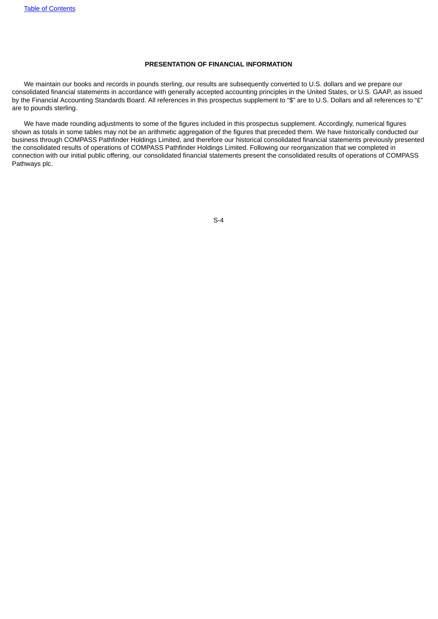# **PRESENTATION OF FINANCIAL INFORMATION**

We maintain our books and records in pounds sterling, our results are subsequently converted to U.S. dollars and we prepare our consolidated financial statements in accordance with generally accepted accounting principles in the United States, or U.S. GAAP, as issued by the Financial Accounting Standards Board. All references in this prospectus supplement to "\$" are to U.S. Dollars and all references to "£" are to pounds sterling.

<span id="page-4-0"></span>We have made rounding adjustments to some of the figures included in this prospectus supplement. Accordingly, numerical figures shown as totals in some tables may not be an arithmetic aggregation of the figures that preceded them. We have historically conducted our business through COMPASS Pathfinder Holdings Limited, and therefore our historical consolidated financial statements previously presented the consolidated results of operations of COMPASS Pathfinder Holdings Limited. Following our reorganization that we completed in connection with our initial public offering, our consolidated financial statements present the consolidated results of operations of COMPASS Pathways plc.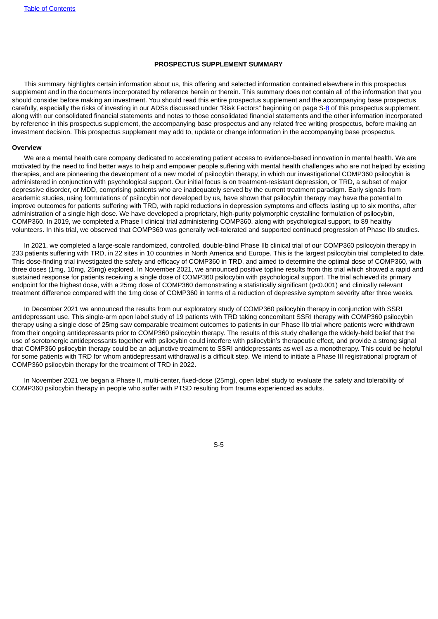#### **PROSPECTUS SUPPLEMENT SUMMARY**

This summary highlights certain information about us, this offering and selected information contained elsewhere in this prospectus supplement and in the documents incorporated by reference herein or therein. This summary does not contain all of the information that you should consider before making an investment. You should read this entire prospectus supplement and the accompanying base prospectus carefully, especially the risks of investing in our ADSs discussed under "Risk Factors" beginning on page S-[8](#page-7-0) of this prospectus supplement, along with our consolidated financial statements and notes to those consolidated financial statements and the other information incorporated by reference in this prospectus supplement, the accompanying base prospectus and any related free writing prospectus, before making an investment decision. This prospectus supplement may add to, update or change information in the accompanying base prospectus.

#### **Overview**

We are a mental health care company dedicated to accelerating patient access to evidence-based innovation in mental health. We are motivated by the need to find better ways to help and empower people suffering with mental health challenges who are not helped by existing therapies, and are pioneering the development of a new model of psilocybin therapy, in which our investigational COMP360 psilocybin is administered in conjunction with psychological support. Our initial focus is on treatment-resistant depression, or TRD, a subset of major depressive disorder, or MDD, comprising patients who are inadequately served by the current treatment paradigm. Early signals from academic studies, using formulations of psilocybin not developed by us, have shown that psilocybin therapy may have the potential to improve outcomes for patients suffering with TRD, with rapid reductions in depression symptoms and effects lasting up to six months, after administration of a single high dose. We have developed a proprietary, high-purity polymorphic crystalline formulation of psilocybin, COMP360. In 2019, we completed a Phase I clinical trial administering COMP360, along with psychological support, to 89 healthy volunteers. In this trial, we observed that COMP360 was generally well-tolerated and supported continued progression of Phase IIb studies.

In 2021, we completed a large-scale randomized, controlled, double-blind Phase IIb clinical trial of our COMP360 psilocybin therapy in 233 patients suffering with TRD, in 22 sites in 10 countries in North America and Europe. This is the largest psilocybin trial completed to date. This dose-finding trial investigated the safety and efficacy of COMP360 in TRD, and aimed to determine the optimal dose of COMP360, with three doses (1mg, 10mg, 25mg) explored. In November 2021, we announced positive topline results from this trial which showed a rapid and sustained response for patients receiving a single dose of COMP360 psilocybin with psychological support. The trial achieved its primary endpoint for the highest dose, with a 25mg dose of COMP360 demonstrating a statistically significant (p<0.001) and clinically relevant treatment difference compared with the 1mg dose of COMP360 in terms of a reduction of depressive symptom severity after three weeks.

In December 2021 we announced the results from our exploratory study of COMP360 psilocybin therapy in conjunction with SSRI antidepressant use. This single-arm open label study of 19 patients with TRD taking concomitant SSRI therapy with COMP360 psilocybin therapy using a single dose of 25mg saw comparable treatment outcomes to patients in our Phase IIb trial where patients were withdrawn from their ongoing antidepressants prior to COMP360 psilocybin therapy. The results of this study challenge the widely-held belief that the use of serotonergic antidepressants together with psilocybin could interfere with psilocybin's therapeutic effect, and provide a strong signal that COMP360 psilocybin therapy could be an adjunctive treatment to SSRI antidepressants as well as a monotherapy. This could be helpful for some patients with TRD for whom antidepressant withdrawal is a difficult step. We intend to initiate a Phase III registrational program of COMP360 psilocybin therapy for the treatment of TRD in 2022.

In November 2021 we began a Phase II, multi-center, fixed-dose (25mg), open label study to evaluate the safety and tolerability of COMP360 psilocybin therapy in people who suffer with PTSD resulting from trauma experienced as adults.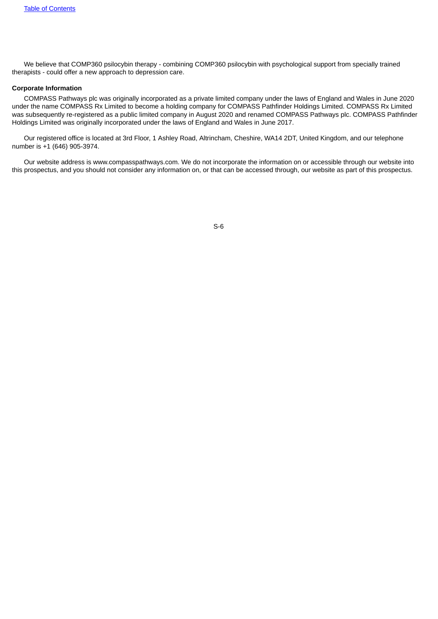We believe that COMP360 psilocybin therapy - combining COMP360 psilocybin with psychological support from specially trained therapists - could offer a new approach to depression care.

#### **Corporate Information**

COMPASS Pathways plc was originally incorporated as a private limited company under the laws of England and Wales in June 2020 under the name COMPASS Rx Limited to become a holding company for COMPASS Pathfinder Holdings Limited. COMPASS Rx Limited was subsequently re-registered as a public limited company in August 2020 and renamed COMPASS Pathways plc. COMPASS Pathfinder Holdings Limited was originally incorporated under the laws of England and Wales in June 2017.

Our registered office is located at 3rd Floor, 1 Ashley Road, Altrincham, Cheshire, WA14 2DT, United Kingdom, and our telephone number is +1 (646) 905-3974.

<span id="page-6-0"></span>Our website address is www.compasspathways.com. We do not incorporate the information on or accessible through our website into this prospectus, and you should not consider any information on, or that can be accessed through, our website as part of this prospectus.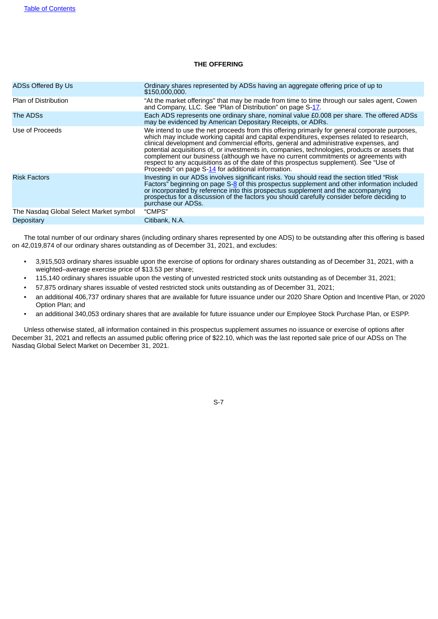# **THE OFFERING**

| ADSs Offered By Us                     | Ordinary shares represented by ADSs having an aggregate offering price of up to<br>\$150,000,000.                                                                                                                                                                                                                                                                                                                                                                                                                                                                                                                             |
|----------------------------------------|-------------------------------------------------------------------------------------------------------------------------------------------------------------------------------------------------------------------------------------------------------------------------------------------------------------------------------------------------------------------------------------------------------------------------------------------------------------------------------------------------------------------------------------------------------------------------------------------------------------------------------|
| <b>Plan of Distribution</b>            | "At the market offerings" that may be made from time to time through our sales agent, Cowen<br>and Company, LLC. See "Plan of Distribution" on page S-17.                                                                                                                                                                                                                                                                                                                                                                                                                                                                     |
| The ADSs                               | Each ADS represents one ordinary share, nominal value £0.008 per share. The offered ADSs<br>may be evidenced by American Depositary Receipts, or ADRs.                                                                                                                                                                                                                                                                                                                                                                                                                                                                        |
| Use of Proceeds                        | We intend to use the net proceeds from this offering primarily for general corporate purposes,<br>which may include working capital and capital expenditures, expenses related to research,<br>clinical development and commercial efforts, general and administrative expenses, and<br>potential acquisitions of, or investments in, companies, technologies, products or assets that<br>complement our business (although we have no current commitments or agreements with<br>respect to any acquisitions as of the date of this prospectus supplement). See "Use of<br>Proceeds" on page S-14 for additional information. |
| <b>Risk Factors</b>                    | Investing in our ADSs involves significant risks. You should read the section titled "Risk"<br>Factors" beginning on page S-8 of this prospectus supplement and other information included<br>or incorporated by reference into this prospectus supplement and the accompanying<br>prospectus for a discussion of the factors you should carefully consider before deciding to<br>purchase our ADSs.                                                                                                                                                                                                                          |
| The Nasdag Global Select Market symbol | "CMPS"                                                                                                                                                                                                                                                                                                                                                                                                                                                                                                                                                                                                                        |
| Depositary                             | Citibank, N.A.                                                                                                                                                                                                                                                                                                                                                                                                                                                                                                                                                                                                                |
|                                        |                                                                                                                                                                                                                                                                                                                                                                                                                                                                                                                                                                                                                               |

The total number of our ordinary shares (including ordinary shares represented by one ADS) to be outstanding after this offering is based on 42,019,874 of our ordinary shares outstanding as of December 31, 2021, and excludes:

- 3,915,503 ordinary shares issuable upon the exercise of options for ordinary shares outstanding as of December 31, 2021, with a weighted–average exercise price of \$13.53 per share;
- 115,140 ordinary shares issuable upon the vesting of unvested restricted stock units outstanding as of December 31, 2021;
- 57,875 ordinary shares issuable of vested restricted stock units outstanding as of December 31, 2021;
- an additional 406,737 ordinary shares that are available for future issuance under our 2020 Share Option and Incentive Plan, or 2020 Option Plan; and
- an additional 340,053 ordinary shares that are available for future issuance under our Employee Stock Purchase Plan, or ESPP.

<span id="page-7-0"></span>Unless otherwise stated, all information contained in this prospectus supplement assumes no issuance or exercise of options after December 31, 2021 and reflects an assumed public offering price of \$22.10, which was the last reported sale price of our ADSs on The Nasdaq Global Select Market on December 31, 2021.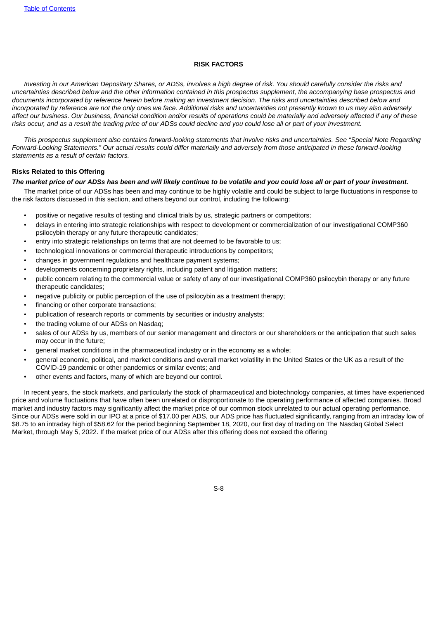#### **RISK FACTORS**

Investing in our American Depositary Shares, or ADSs, involves a high degree of risk. You should carefully consider the risks and uncertainties described below and the other information contained in this prospectus supplement, the accompanying base prospectus and documents incorporated by reference herein before making an investment decision. The risks and uncertainties described below and incorporated by reference are not the only ones we face. Additional risks and uncertainties not presently known to us may also adversely affect our business. Our business, financial condition and/or results of operations could be materially and adversely affected if any of these risks occur, and as a result the trading price of our ADSs could decline and you could lose all or part of your investment.

This prospectus supplement also contains forward-looking statements that involve risks and uncertainties. See "Special Note Regarding Forward-Looking Statements." Our actual results could differ materially and adversely from those anticipated in these forward-looking *statements as a result of certain factors.*

#### **Risks Related to this Offering**

#### The market price of our ADSs has been and will likely continue to be volatile and you could lose all or part of your investment.

The market price of our ADSs has been and may continue to be highly volatile and could be subject to large fluctuations in response to the risk factors discussed in this section, and others beyond our control, including the following:

- positive or negative results of testing and clinical trials by us, strategic partners or competitors;
- delays in entering into strategic relationships with respect to development or commercialization of our investigational COMP360 psilocybin therapy or any future therapeutic candidates;
- entry into strategic relationships on terms that are not deemed to be favorable to us;
- technological innovations or commercial therapeutic introductions by competitors;
- changes in government regulations and healthcare payment systems;
- developments concerning proprietary rights, including patent and litigation matters;
- public concern relating to the commercial value or safety of any of our investigational COMP360 psilocybin therapy or any future therapeutic candidates;
- negative publicity or public perception of the use of psilocybin as a treatment therapy;
- financing or other corporate transactions;
- publication of research reports or comments by securities or industry analysts;
- the trading volume of our ADSs on Nasdaq;
- sales of our ADSs by us, members of our senior management and directors or our shareholders or the anticipation that such sales may occur in the future;
- general market conditions in the pharmaceutical industry or in the economy as a whole;
- general economic, political, and market conditions and overall market volatility in the United States or the UK as a result of the COVID-19 pandemic or other pandemics or similar events; and
- other events and factors, many of which are beyond our control.

In recent years, the stock markets, and particularly the stock of pharmaceutical and biotechnology companies, at times have experienced price and volume fluctuations that have often been unrelated or disproportionate to the operating performance of affected companies. Broad market and industry factors may significantly affect the market price of our common stock unrelated to our actual operating performance. Since our ADSs were sold in our IPO at a price of \$17.00 per ADS, our ADS price has fluctuated significantly, ranging from an intraday low of \$8.75 to an intraday high of \$58.62 for the period beginning September 18, 2020, our first day of trading on The Nasdaq Global Select Market, through May 5, 2022. If the market price of our ADSs after this offering does not exceed the offering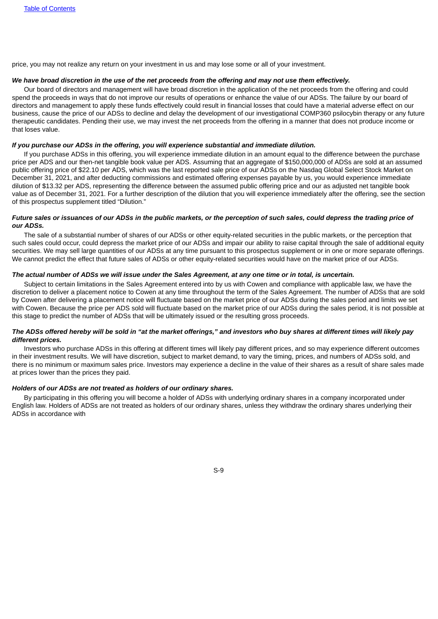price, you may not realize any return on your investment in us and may lose some or all of your investment.

#### We have broad discretion in the use of the net proceeds from the offering and may not use them effectively.

Our board of directors and management will have broad discretion in the application of the net proceeds from the offering and could spend the proceeds in ways that do not improve our results of operations or enhance the value of our ADSs. The failure by our board of directors and management to apply these funds effectively could result in financial losses that could have a material adverse effect on our business, cause the price of our ADSs to decline and delay the development of our investigational COMP360 psilocybin therapy or any future therapeutic candidates. Pending their use, we may invest the net proceeds from the offering in a manner that does not produce income or that loses value.

#### *If you purchase our ADSs in the offering, you will experience substantial and immediate dilution.*

If you purchase ADSs in this offering, you will experience immediate dilution in an amount equal to the difference between the purchase price per ADS and our then-net tangible book value per ADS. Assuming that an aggregate of \$150,000,000 of ADSs are sold at an assumed public offering price of \$22.10 per ADS, which was the last reported sale price of our ADSs on the Nasdaq Global Select Stock Market on December 31, 2021, and after deducting commissions and estimated offering expenses payable by us, you would experience immediate dilution of \$13.32 per ADS, representing the difference between the assumed public offering price and our as adjusted net tangible book value as of December 31, 2021. For a further description of the dilution that you will experience immediately after the offering, see the section of this prospectus supplement titled "Dilution."

#### Future sales or issuances of our ADSs in the public markets, or the perception of such sales, could depress the trading price of *our ADSs.*

The sale of a substantial number of shares of our ADSs or other equity-related securities in the public markets, or the perception that such sales could occur, could depress the market price of our ADSs and impair our ability to raise capital through the sale of additional equity securities. We may sell large quantities of our ADSs at any time pursuant to this prospectus supplement or in one or more separate offerings. We cannot predict the effect that future sales of ADSs or other equity-related securities would have on the market price of our ADSs.

#### The actual number of ADSs we will issue under the Sales Agreement, at any one time or in total, is uncertain.

Subject to certain limitations in the Sales Agreement entered into by us with Cowen and compliance with applicable law, we have the discretion to deliver a placement notice to Cowen at any time throughout the term of the Sales Agreement. The number of ADSs that are sold by Cowen after delivering a placement notice will fluctuate based on the market price of our ADSs during the sales period and limits we set with Cowen. Because the price per ADS sold will fluctuate based on the market price of our ADSs during the sales period, it is not possible at this stage to predict the number of ADSs that will be ultimately issued or the resulting gross proceeds.

#### The ADSs offered hereby will be sold in "at the market offerings," and investors who buy shares at different times will likely pay *different prices.*

Investors who purchase ADSs in this offering at different times will likely pay different prices, and so may experience different outcomes in their investment results. We will have discretion, subject to market demand, to vary the timing, prices, and numbers of ADSs sold, and there is no minimum or maximum sales price. Investors may experience a decline in the value of their shares as a result of share sales made at prices lower than the prices they paid.

#### *Holders of our ADSs are not treated as holders of our ordinary shares.*

By participating in this offering you will become a holder of ADSs with underlying ordinary shares in a company incorporated under English law. Holders of ADSs are not treated as holders of our ordinary shares, unless they withdraw the ordinary shares underlying their ADSs in accordance with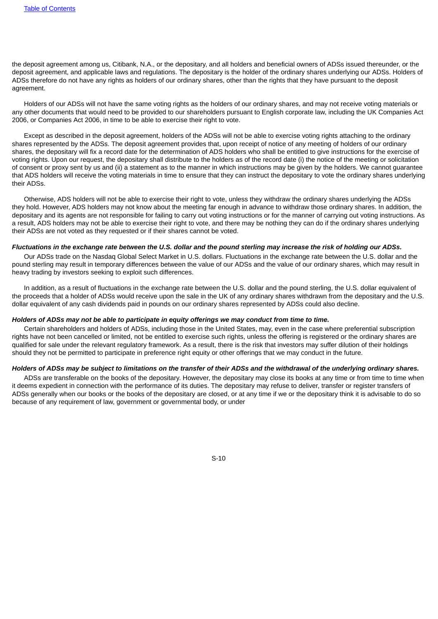the deposit agreement among us, Citibank, N.A., or the depositary, and all holders and beneficial owners of ADSs issued thereunder, or the deposit agreement, and applicable laws and regulations. The depositary is the holder of the ordinary shares underlying our ADSs. Holders of ADSs therefore do not have any rights as holders of our ordinary shares, other than the rights that they have pursuant to the deposit agreement.

Holders of our ADSs will not have the same voting rights as the holders of our ordinary shares, and may not receive voting materials or any other documents that would need to be provided to our shareholders pursuant to English corporate law, including the UK Companies Act 2006, or Companies Act 2006, in time to be able to exercise their right to vote.

Except as described in the deposit agreement, holders of the ADSs will not be able to exercise voting rights attaching to the ordinary shares represented by the ADSs. The deposit agreement provides that, upon receipt of notice of any meeting of holders of our ordinary shares, the depositary will fix a record date for the determination of ADS holders who shall be entitled to give instructions for the exercise of voting rights. Upon our request, the depositary shall distribute to the holders as of the record date (i) the notice of the meeting or solicitation of consent or proxy sent by us and (ii) a statement as to the manner in which instructions may be given by the holders. We cannot guarantee that ADS holders will receive the voting materials in time to ensure that they can instruct the depositary to vote the ordinary shares underlying their ADSs.

Otherwise, ADS holders will not be able to exercise their right to vote, unless they withdraw the ordinary shares underlying the ADSs they hold. However, ADS holders may not know about the meeting far enough in advance to withdraw those ordinary shares. In addition, the depositary and its agents are not responsible for failing to carry out voting instructions or for the manner of carrying out voting instructions. As a result, ADS holders may not be able to exercise their right to vote, and there may be nothing they can do if the ordinary shares underlying their ADSs are not voted as they requested or if their shares cannot be voted.

#### Fluctuations in the exchange rate between the U.S. dollar and the pound sterling may increase the risk of holding our ADSs.

Our ADSs trade on the Nasdaq Global Select Market in U.S. dollars. Fluctuations in the exchange rate between the U.S. dollar and the pound sterling may result in temporary differences between the value of our ADSs and the value of our ordinary shares, which may result in heavy trading by investors seeking to exploit such differences.

In addition, as a result of fluctuations in the exchange rate between the U.S. dollar and the pound sterling, the U.S. dollar equivalent of the proceeds that a holder of ADSs would receive upon the sale in the UK of any ordinary shares withdrawn from the depositary and the U.S. dollar equivalent of any cash dividends paid in pounds on our ordinary shares represented by ADSs could also decline.

#### Holders of ADSs may not be able to participate in equity offerings we may conduct from time to time.

Certain shareholders and holders of ADSs, including those in the United States, may, even in the case where preferential subscription rights have not been cancelled or limited, not be entitled to exercise such rights, unless the offering is registered or the ordinary shares are qualified for sale under the relevant regulatory framework. As a result, there is the risk that investors may suffer dilution of their holdings should they not be permitted to participate in preference right equity or other offerings that we may conduct in the future.

#### Holders of ADSs may be subject to limitations on the transfer of their ADSs and the withdrawal of the underlying ordinary shares.

ADSs are transferable on the books of the depositary. However, the depositary may close its books at any time or from time to time when it deems expedient in connection with the performance of its duties. The depositary may refuse to deliver, transfer or register transfers of ADSs generally when our books or the books of the depositary are closed, or at any time if we or the depositary think it is advisable to do so because of any requirement of law, government or governmental body, or under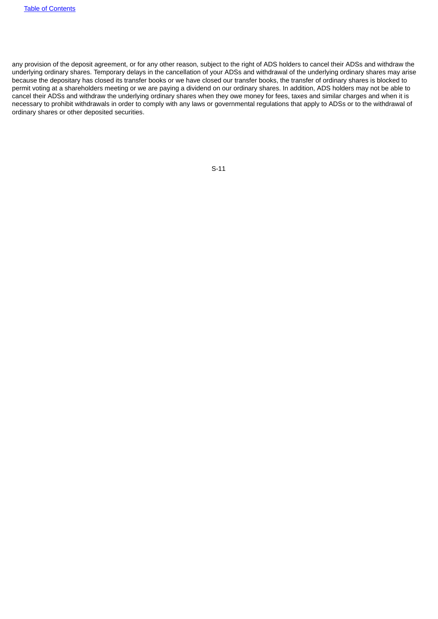<span id="page-11-0"></span>any provision of the deposit agreement, or for any other reason, subject to the right of ADS holders to cancel their ADSs and withdraw the underlying ordinary shares. Temporary delays in the cancellation of your ADSs and withdrawal of the underlying ordinary shares may arise because the depositary has closed its transfer books or we have closed our transfer books, the transfer of ordinary shares is blocked to permit voting at a shareholders meeting or we are paying a dividend on our ordinary shares. In addition, ADS holders may not be able to cancel their ADSs and withdraw the underlying ordinary shares when they owe money for fees, taxes and similar charges and when it is necessary to prohibit withdrawals in order to comply with any laws or governmental regulations that apply to ADSs or to the withdrawal of ordinary shares or other deposited securities.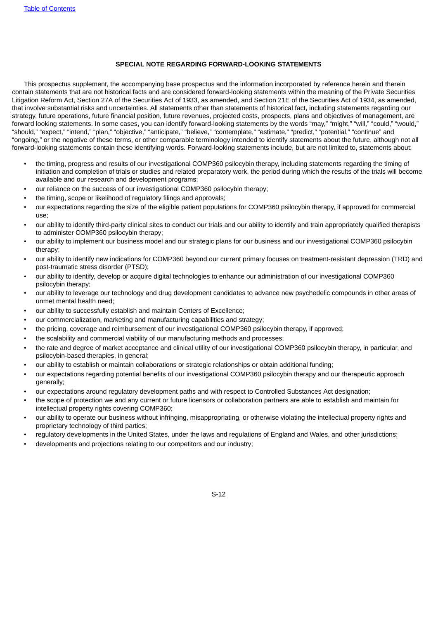# **SPECIAL NOTE REGARDING FORWARD-LOOKING STATEMENTS**

This prospectus supplement, the accompanying base prospectus and the information incorporated by reference herein and therein contain statements that are not historical facts and are considered forward-looking statements within the meaning of the Private Securities Litigation Reform Act, Section 27A of the Securities Act of 1933, as amended, and Section 21E of the Securities Act of 1934, as amended, that involve substantial risks and uncertainties. All statements other than statements of historical fact, including statements regarding our strategy, future operations, future financial position, future revenues, projected costs, prospects, plans and objectives of management, are forward looking statements. In some cases, you can identify forward-looking statements by the words "may," "might," "will," "could," "would," "should," "expect," "intend," "plan," "objective," "anticipate," "believe," "contemplate," "estimate," "predict," "potential," "continue" and "ongoing," or the negative of these terms, or other comparable terminology intended to identify statements about the future, although not all forward-looking statements contain these identifying words. Forward-looking statements include, but are not limited to, statements about:

- the timing, progress and results of our investigational COMP360 psilocybin therapy, including statements regarding the timing of initiation and completion of trials or studies and related preparatory work, the period during which the results of the trials will become available and our research and development programs;
- our reliance on the success of our investigational COMP360 psilocybin therapy;
- the timing, scope or likelihood of regulatory filings and approvals;
- our expectations regarding the size of the eligible patient populations for COMP360 psilocybin therapy, if approved for commercial use;
- our ability to identify third-party clinical sites to conduct our trials and our ability to identify and train appropriately qualified therapists to administer COMP360 psilocybin therapy;
- our ability to implement our business model and our strategic plans for our business and our investigational COMP360 psilocybin therapy;
- our ability to identify new indications for COMP360 beyond our current primary focuses on treatment-resistant depression (TRD) and post-traumatic stress disorder (PTSD);
- our ability to identify, develop or acquire digital technologies to enhance our administration of our investigational COMP360 psilocybin therapy;
- our ability to leverage our technology and drug development candidates to advance new psychedelic compounds in other areas of unmet mental health need;
- our ability to successfully establish and maintain Centers of Excellence;
- our commercialization, marketing and manufacturing capabilities and strategy;
- the pricing, coverage and reimbursement of our investigational COMP360 psilocybin therapy, if approved;
- the scalability and commercial viability of our manufacturing methods and processes;
- the rate and degree of market acceptance and clinical utility of our investigational COMP360 psilocybin therapy, in particular, and psilocybin-based therapies, in general;
- our ability to establish or maintain collaborations or strategic relationships or obtain additional funding;
- our expectations regarding potential benefits of our investigational COMP360 psilocybin therapy and our therapeutic approach generally;
- our expectations around regulatory development paths and with respect to Controlled Substances Act designation;
- the scope of protection we and any current or future licensors or collaboration partners are able to establish and maintain for intellectual property rights covering COMP360;
- our ability to operate our business without infringing, misappropriating, or otherwise violating the intellectual property rights and proprietary technology of third parties;
- regulatory developments in the United States, under the laws and regulations of England and Wales, and other jurisdictions;
- developments and projections relating to our competitors and our industry;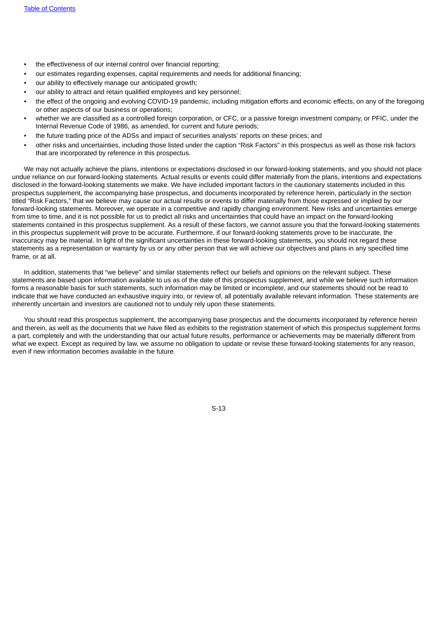- the effectiveness of our internal control over financial reporting;
- our estimates regarding expenses, capital requirements and needs for additional financing;
- our ability to effectively manage our anticipated growth;
- our ability to attract and retain qualified employees and key personnel;
- the effect of the ongoing and evolving COVID-19 pandemic, including mitigation efforts and economic effects, on any of the foregoing or other aspects of our business or operations;
- whether we are classified as a controlled foreign corporation, or CFC, or a passive foreign investment company, or PFIC, under the Internal Revenue Code of 1986, as amended, for current and future periods;
- the future trading price of the ADSs and impact of securities analysts' reports on these prices; and
- other risks and uncertainties, including those listed under the caption "Risk Factors" in this prospectus as well as those risk factors that are incorporated by reference in this prospectus.

We may not actually achieve the plans, intentions or expectations disclosed in our forward-looking statements, and you should not place undue reliance on our forward-looking statements. Actual results or events could differ materially from the plans, intentions and expectations disclosed in the forward-looking statements we make. We have included important factors in the cautionary statements included in this prospectus supplement, the accompanying base prospectus, and documents incorporated by reference herein, particularly in the section titled "Risk Factors," that we believe may cause our actual results or events to differ materially from those expressed or implied by our forward-looking statements. Moreover, we operate in a competitive and rapidly changing environment. New risks and uncertainties emerge from time to time, and it is not possible for us to predict all risks and uncertainties that could have an impact on the forward-looking statements contained in this prospectus supplement. As a result of these factors, we cannot assure you that the forward-looking statements in this prospectus supplement will prove to be accurate. Furthermore, if our forward-looking statements prove to be inaccurate, the inaccuracy may be material. In light of the significant uncertainties in these forward-looking statements, you should not regard these statements as a representation or warranty by us or any other person that we will achieve our objectives and plans in any specified time frame, or at all.

In addition, statements that "we believe" and similar statements reflect our beliefs and opinions on the relevant subject. These statements are based upon information available to us as of the date of this prospectus supplement, and while we believe such information forms a reasonable basis for such statements, such information may be limited or incomplete, and our statements should not be read to indicate that we have conducted an exhaustive inquiry into, or review of, all potentially available relevant information. These statements are inherently uncertain and investors are cautioned not to unduly rely upon these statements.

<span id="page-13-0"></span>You should read this prospectus supplement, the accompanying base prospectus and the documents incorporated by reference herein and therein, as well as the documents that we have filed as exhibits to the registration statement of which this prospectus supplement forms a part, completely and with the understanding that our actual future results, performance or achievements may be materially different from what we expect. Except as required by law, we assume no obligation to update or revise these forward-looking statements for any reason, even if new information becomes available in the future.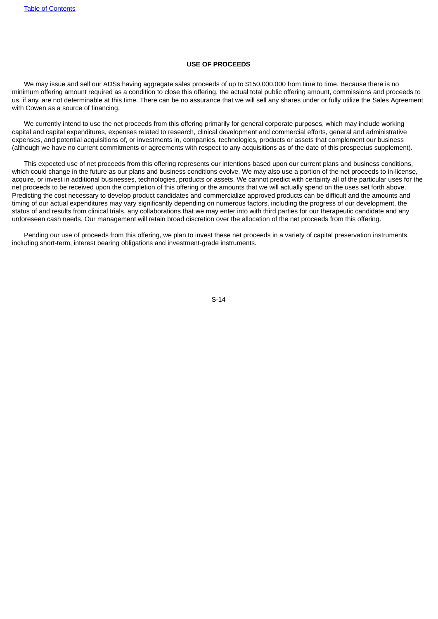# **USE OF PROCEEDS**

We may issue and sell our ADSs having aggregate sales proceeds of up to \$150,000,000 from time to time. Because there is no minimum offering amount required as a condition to close this offering, the actual total public offering amount, commissions and proceeds to us, if any, are not determinable at this time. There can be no assurance that we will sell any shares under or fully utilize the Sales Agreement with Cowen as a source of financing.

We currently intend to use the net proceeds from this offering primarily for general corporate purposes, which may include working capital and capital expenditures, expenses related to research, clinical development and commercial efforts, general and administrative expenses, and potential acquisitions of, or investments in, companies, technologies, products or assets that complement our business (although we have no current commitments or agreements with respect to any acquisitions as of the date of this prospectus supplement).

This expected use of net proceeds from this offering represents our intentions based upon our current plans and business conditions, which could change in the future as our plans and business conditions evolve. We may also use a portion of the net proceeds to in-license, acquire, or invest in additional businesses, technologies, products or assets. We cannot predict with certainty all of the particular uses for the net proceeds to be received upon the completion of this offering or the amounts that we will actually spend on the uses set forth above. Predicting the cost necessary to develop product candidates and commercialize approved products can be difficult and the amounts and timing of our actual expenditures may vary significantly depending on numerous factors, including the progress of our development, the status of and results from clinical trials, any collaborations that we may enter into with third parties for our therapeutic candidate and any unforeseen cash needs. Our management will retain broad discretion over the allocation of the net proceeds from this offering.

<span id="page-14-0"></span>Pending our use of proceeds from this offering, we plan to invest these net proceeds in a variety of capital preservation instruments, including short-term, interest bearing obligations and investment-grade instruments.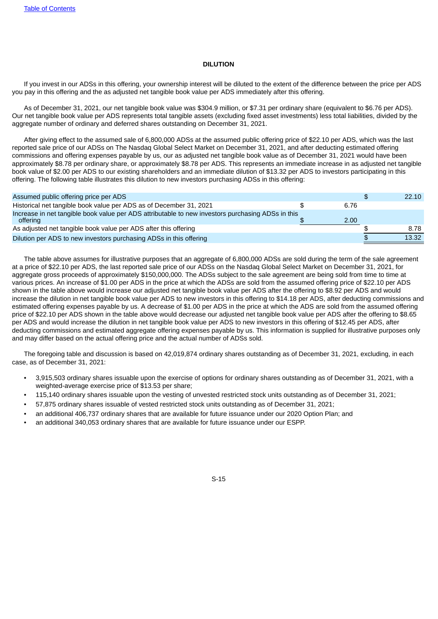#### **DILUTION**

If you invest in our ADSs in this offering, your ownership interest will be diluted to the extent of the difference between the price per ADS you pay in this offering and the as adjusted net tangible book value per ADS immediately after this offering.

As of December 31, 2021, our net tangible book value was \$304.9 million, or \$7.31 per ordinary share (equivalent to \$6.76 per ADS). Our net tangible book value per ADS represents total tangible assets (excluding fixed asset investments) less total liabilities, divided by the aggregate number of ordinary and deferred shares outstanding on December 31, 2021.

After giving effect to the assumed sale of 6,800,000 ADSs at the assumed public offering price of \$22.10 per ADS, which was the last reported sale price of our ADSs on The Nasdaq Global Select Market on December 31, 2021, and after deducting estimated offering commissions and offering expenses payable by us, our as adjusted net tangible book value as of December 31, 2021 would have been approximately \$8.78 per ordinary share, or approximately \$8.78 per ADS. This represents an immediate increase in as adjusted net tangible book value of \$2.00 per ADS to our existing shareholders and an immediate dilution of \$13.32 per ADS to investors participating in this offering. The following table illustrates this dilution to new investors purchasing ADSs in this offering:

| Assumed public offering price per ADS                                                                         |      | 22.10 |
|---------------------------------------------------------------------------------------------------------------|------|-------|
| Historical net tangible book value per ADS as of December 31, 2021                                            | 6.76 |       |
| Increase in net tangible book value per ADS attributable to new investors purchasing ADSs in this<br>offering | 2.00 |       |
| As adjusted net tangible book value per ADS after this offering                                               |      | 8.78  |
| Dilution per ADS to new investors purchasing ADSs in this offering                                            |      | 13.32 |

The table above assumes for illustrative purposes that an aggregate of 6,800,000 ADSs are sold during the term of the sale agreement at a price of \$22.10 per ADS, the last reported sale price of our ADSs on the Nasdaq Global Select Market on December 31, 2021, for aggregate gross proceeds of approximately \$150,000,000. The ADSs subject to the sale agreement are being sold from time to time at various prices. An increase of \$1.00 per ADS in the price at which the ADSs are sold from the assumed offering price of \$22.10 per ADS shown in the table above would increase our adjusted net tangible book value per ADS after the offering to \$8.92 per ADS and would increase the dilution in net tangible book value per ADS to new investors in this offering to \$14.18 per ADS, after deducting commissions and estimated offering expenses payable by us. A decrease of \$1.00 per ADS in the price at which the ADS are sold from the assumed offering price of \$22.10 per ADS shown in the table above would decrease our adjusted net tangible book value per ADS after the offering to \$8.65 per ADS and would increase the dilution in net tangible book value per ADS to new investors in this offering of \$12.45 per ADS, after deducting commissions and estimated aggregate offering expenses payable by us. This information is supplied for illustrative purposes only and may differ based on the actual offering price and the actual number of ADSs sold.

The foregoing table and discussion is based on 42,019,874 ordinary shares outstanding as of December 31, 2021, excluding, in each case, as of December 31, 2021:

- 3,915,503 ordinary shares issuable upon the exercise of options for ordinary shares outstanding as of December 31, 2021, with a weighted-average exercise price of \$13.53 per share;
- 115,140 ordinary shares issuable upon the vesting of unvested restricted stock units outstanding as of December 31, 2021;
- 57,875 ordinary shares issuable of vested restricted stock units outstanding as of December 31, 2021;
- an additional 406,737 ordinary shares that are available for future issuance under our 2020 Option Plan; and
- an additional 340,053 ordinary shares that are available for future issuance under our ESPP.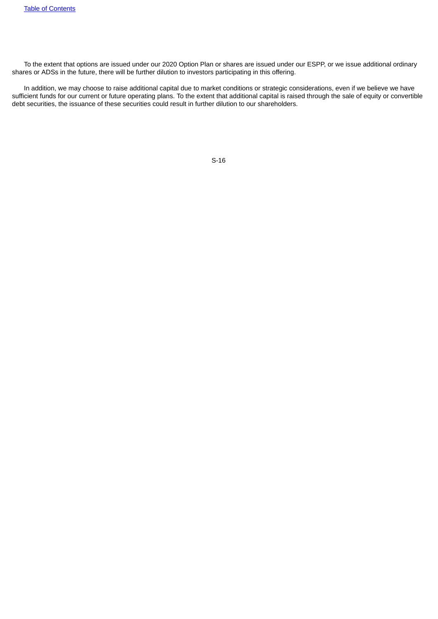To the extent that options are issued under our 2020 Option Plan or shares are issued under our ESPP, or we issue additional ordinary shares or ADSs in the future, there will be further dilution to investors participating in this offering.

<span id="page-16-0"></span>In addition, we may choose to raise additional capital due to market conditions or strategic considerations, even if we believe we have sufficient funds for our current or future operating plans. To the extent that additional capital is raised through the sale of equity or convertible debt securities, the issuance of these securities could result in further dilution to our shareholders.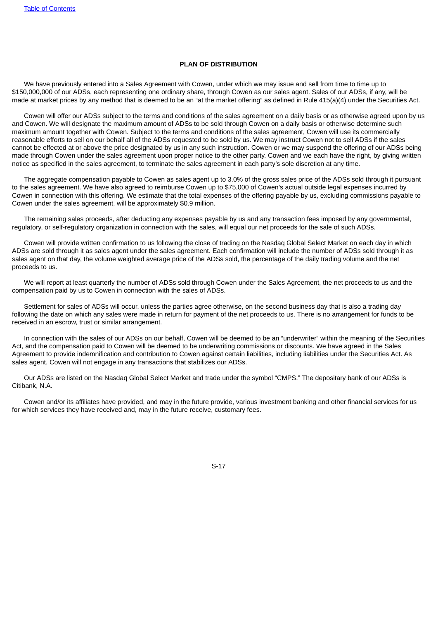# **PLAN OF DISTRIBUTION**

We have previously entered into a Sales Agreement with Cowen, under which we may issue and sell from time to time up to \$150,000,000 of our ADSs, each representing one ordinary share, through Cowen as our sales agent. Sales of our ADSs, if any, will be made at market prices by any method that is deemed to be an "at the market offering" as defined in Rule 415(a)(4) under the Securities Act.

Cowen will offer our ADSs subject to the terms and conditions of the sales agreement on a daily basis or as otherwise agreed upon by us and Cowen. We will designate the maximum amount of ADSs to be sold through Cowen on a daily basis or otherwise determine such maximum amount together with Cowen. Subject to the terms and conditions of the sales agreement, Cowen will use its commercially reasonable efforts to sell on our behalf all of the ADSs requested to be sold by us. We may instruct Cowen not to sell ADSs if the sales cannot be effected at or above the price designated by us in any such instruction. Cowen or we may suspend the offering of our ADSs being made through Cowen under the sales agreement upon proper notice to the other party. Cowen and we each have the right, by giving written notice as specified in the sales agreement, to terminate the sales agreement in each party's sole discretion at any time.

The aggregate compensation payable to Cowen as sales agent up to 3.0% of the gross sales price of the ADSs sold through it pursuant to the sales agreement. We have also agreed to reimburse Cowen up to \$75,000 of Cowen's actual outside legal expenses incurred by Cowen in connection with this offering. We estimate that the total expenses of the offering payable by us, excluding commissions payable to Cowen under the sales agreement, will be approximately \$0.9 million.

The remaining sales proceeds, after deducting any expenses payable by us and any transaction fees imposed by any governmental, regulatory, or self-regulatory organization in connection with the sales, will equal our net proceeds for the sale of such ADSs.

Cowen will provide written confirmation to us following the close of trading on the Nasdaq Global Select Market on each day in which ADSs are sold through it as sales agent under the sales agreement. Each confirmation will include the number of ADSs sold through it as sales agent on that day, the volume weighted average price of the ADSs sold, the percentage of the daily trading volume and the net proceeds to us.

We will report at least quarterly the number of ADSs sold through Cowen under the Sales Agreement, the net proceeds to us and the compensation paid by us to Cowen in connection with the sales of ADSs.

Settlement for sales of ADSs will occur, unless the parties agree otherwise, on the second business day that is also a trading day following the date on which any sales were made in return for payment of the net proceeds to us. There is no arrangement for funds to be received in an escrow, trust or similar arrangement.

In connection with the sales of our ADSs on our behalf, Cowen will be deemed to be an "underwriter" within the meaning of the Securities Act, and the compensation paid to Cowen will be deemed to be underwriting commissions or discounts. We have agreed in the Sales Agreement to provide indemnification and contribution to Cowen against certain liabilities, including liabilities under the Securities Act. As sales agent, Cowen will not engage in any transactions that stabilizes our ADSs.

Our ADSs are listed on the Nasdaq Global Select Market and trade under the symbol "CMPS." The depositary bank of our ADSs is Citibank, N.A.

<span id="page-17-0"></span>Cowen and/or its affiliates have provided, and may in the future provide, various investment banking and other financial services for us for which services they have received and, may in the future receive, customary fees.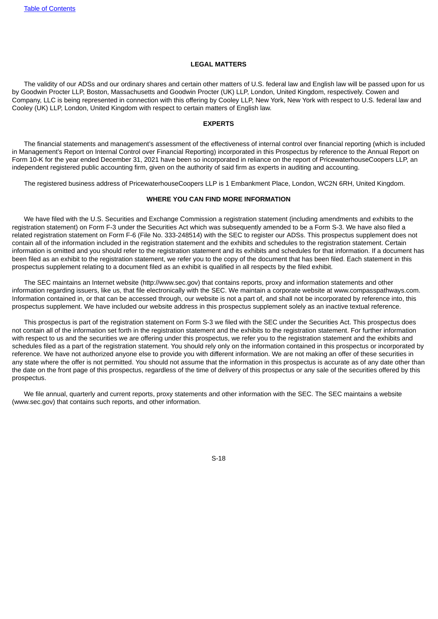#### **LEGAL MATTERS**

The validity of our ADSs and our ordinary shares and certain other matters of U.S. federal law and English law will be passed upon for us by Goodwin Procter LLP, Boston, Massachusetts and Goodwin Procter (UK) LLP, London, United Kingdom, respectively. Cowen and Company, LLC is being represented in connection with this offering by Cooley LLP, New York, New York with respect to U.S. federal law and Cooley (UK) LLP, London, United Kingdom with respect to certain matters of English law.

# **EXPERTS**

<span id="page-18-0"></span>The financial statements and management's assessment of the effectiveness of internal control over financial reporting (which is included in Management's Report on Internal Control over Financial Reporting) incorporated in this Prospectus by reference to the Annual Report on Form 10-K for the year ended December 31, 2021 have been so incorporated in reliance on the report of PricewaterhouseCoopers LLP, an independent registered public accounting firm, given on the authority of said firm as experts in auditing and accounting.

<span id="page-18-1"></span>The registered business address of PricewaterhouseCoopers LLP is 1 Embankment Place, London, WC2N 6RH, United Kingdom.

#### **WHERE YOU CAN FIND MORE INFORMATION**

We have filed with the U.S. Securities and Exchange Commission a registration statement (including amendments and exhibits to the registration statement) on Form F-3 under the Securities Act which was subsequently amended to be a Form S-3. We have also filed a related registration statement on Form F-6 (File No. 333-248514) with the SEC to register our ADSs. This prospectus supplement does not contain all of the information included in the registration statement and the exhibits and schedules to the registration statement. Certain information is omitted and you should refer to the registration statement and its exhibits and schedules for that information. If a document has been filed as an exhibit to the registration statement, we refer you to the copy of the document that has been filed. Each statement in this prospectus supplement relating to a document filed as an exhibit is qualified in all respects by the filed exhibit.

The SEC maintains an Internet website (http://www.sec.gov) that contains reports, proxy and information statements and other information regarding issuers, like us, that file electronically with the SEC. We maintain a corporate website at www.compasspathways.com. Information contained in, or that can be accessed through, our website is not a part of, and shall not be incorporated by reference into, this prospectus supplement. We have included our website address in this prospectus supplement solely as an inactive textual reference.

This prospectus is part of the registration statement on Form S-3 we filed with the SEC under the Securities Act. This prospectus does not contain all of the information set forth in the registration statement and the exhibits to the registration statement. For further information with respect to us and the securities we are offering under this prospectus, we refer you to the registration statement and the exhibits and schedules filed as a part of the registration statement. You should rely only on the information contained in this prospectus or incorporated by reference. We have not authorized anyone else to provide you with different information. We are not making an offer of these securities in any state where the offer is not permitted. You should not assume that the information in this prospectus is accurate as of any date other than the date on the front page of this prospectus, regardless of the time of delivery of this prospectus or any sale of the securities offered by this prospectus.

We file annual, quarterly and current reports, proxy statements and other information with the SEC. The SEC maintains a website (www.sec.gov) that contains such reports, and other information.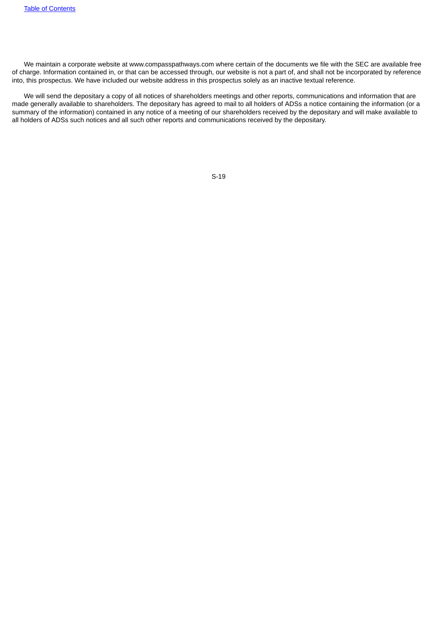We maintain a corporate website at www.compasspathways.com where certain of the documents we file with the SEC are available free of charge. Information contained in, or that can be accessed through, our website is not a part of, and shall not be incorporated by reference into, this prospectus. We have included our website address in this prospectus solely as an inactive textual reference.

<span id="page-19-0"></span>We will send the depositary a copy of all notices of shareholders meetings and other reports, communications and information that are made generally available to shareholders. The depositary has agreed to mail to all holders of ADSs a notice containing the information (or a summary of the information) contained in any notice of a meeting of our shareholders received by the depositary and will make available to all holders of ADSs such notices and all such other reports and communications received by the depositary.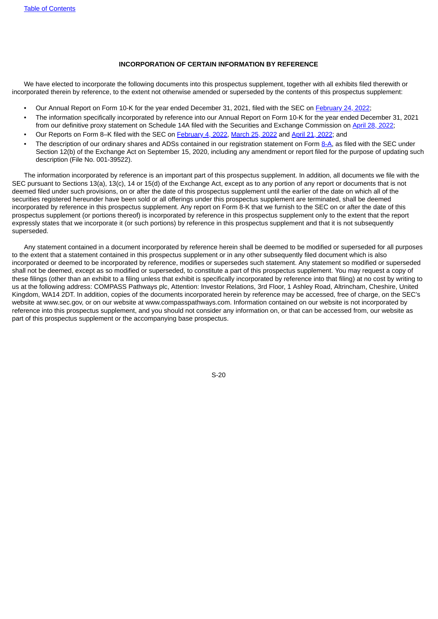#### **INCORPORATION OF CERTAIN INFORMATION BY REFERENCE**

We have elected to incorporate the following documents into this prospectus supplement, together with all exhibits filed therewith or incorporated therein by reference, to the extent not otherwise amended or superseded by the contents of this prospectus supplement:

- Our Annual Report on Form 10-K for the year ended December 31, 2021, filed with the SEC on [February](https://www.sec.gov/ix?doc=/Archives/edgar/data/0001816590/000162828022003651/cmps-20211231.htm) 24, 2022;
- The information specifically incorporated by reference into our Annual Report on Form 10-K for the year ended December 31, 2021 from our definitive proxy statement on Schedule 14A filed with the Securities and Exchange Commission on April 28, [2022;](https://www.sec.gov/Archives/edgar/data/1816590/000181659022000038/cmps-schedule14adefproxyst.htm)
- Our Reports on Form 8–K filed with the SEC on [February](https://www.sec.gov/ix?doc=/Archives/edgar/data/1816590/000181659022000008/cmps-20220201.htm) 4, 2022, [March](https://www.sec.gov/ix?doc=/Archives/edgar/data/1816590/000181659022000014/cmps-20220324.htm) 25, 2022 and April 21, [2022](https://www.sec.gov/ix?doc=/Archives/edgar/data/1816590/000181659022000031/cmps-20220419.htm); and
- The description of our ordinary shares and ADSs contained in our registration statement on Form [8-A](https://www.sec.gov/Archives/edgar/data/1816590/000162828020013596/compasspathways-8xa9152020.htm), as filed with the SEC under Section 12(b) of the Exchange Act on September 15, 2020, including any amendment or report filed for the purpose of updating such description (File No. 001-39522).

The information incorporated by reference is an important part of this prospectus supplement. In addition, all documents we file with the SEC pursuant to Sections 13(a), 13(c), 14 or 15(d) of the Exchange Act, except as to any portion of any report or documents that is not deemed filed under such provisions, on or after the date of this prospectus supplement until the earlier of the date on which all of the securities registered hereunder have been sold or all offerings under this prospectus supplement are terminated, shall be deemed incorporated by reference in this prospectus supplement. Any report on Form 8-K that we furnish to the SEC on or after the date of this prospectus supplement (or portions thereof) is incorporated by reference in this prospectus supplement only to the extent that the report expressly states that we incorporate it (or such portions) by reference in this prospectus supplement and that it is not subsequently superseded.

Any statement contained in a document incorporated by reference herein shall be deemed to be modified or superseded for all purposes to the extent that a statement contained in this prospectus supplement or in any other subsequently filed document which is also incorporated or deemed to be incorporated by reference, modifies or supersedes such statement. Any statement so modified or superseded shall not be deemed, except as so modified or superseded, to constitute a part of this prospectus supplement. You may request a copy of these filings (other than an exhibit to a filing unless that exhibit is specifically incorporated by reference into that filing) at no cost by writing to us at the following address: COMPASS Pathways plc, Attention: Investor Relations, 3rd Floor, 1 Ashley Road, Altrincham, Cheshire, United Kingdom, WA14 2DT. In addition, copies of the documents incorporated herein by reference may be accessed, free of charge, on the SEC's website at www.sec.gov, or on our website at www.compasspathways.com. Information contained on our website is not incorporated by reference into this prospectus supplement, and you should not consider any information on, or that can be accessed from, our website as part of this prospectus supplement or the accompanying base prospectus.